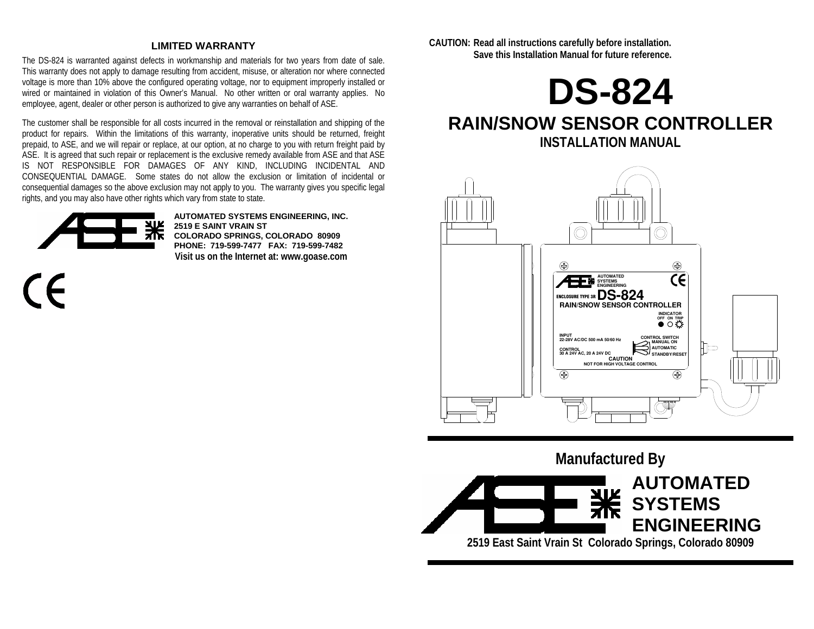#### **LIMITED WARRANTY**

The DS-824 is warranted against defects in workmanship and materials for two years from date of sale. This warranty does not apply to damage resulting from accident, misuse, or alteration nor where connected voltage is more than 10% above the configured operating voltage, nor to equipment improperly installed or wired or maintained in violation of this Owner's Manual. No other written or oral warranty applies. No employee, agent, dealer or other person is authorized to give any warranties on behalf of ASE.

The customer shall be responsible for all costs incurred in the removal or reinstallation and shipping of the product for repairs. Within the limitations of this warranty, inoperative units should be returned, freight prepaid, to ASE, and we will repair or replace, at our option, at no charge to you with return freight paid by ASE. It is agreed that such repair or replacement is the exclusive remedy available from ASE and that ASE IS NOT RESPONSIBLE FOR DAMAGES OF ANY KIND, INCLUDING INCIDENTAL AND CONSEQUENTIAL DAMAGE. Some states do not allow the exclusion or limitation of incidental or consequential damages so the above exclusion may not apply to you. The warranty gives you specific legal rights, and you may also have other rights which vary from state to state.



**AUTOMATED SYSTEMS ENGINEERING, INC. 2519 E SAINT VRAIN ST COLORADO SPRINGS, COLORADO 80909 PHONE: 719-599-7477 FAX: 719-599-7482 Visit us on the Internet at: www.goase.com** 

 $\epsilon$ 

**CAUTION: Read all instructions carefully before installation. Save this Installation Manual for future reference.** 



# **RAIN/SNOW SENSOR CONTROLLER INSTALLATION MANUAL**



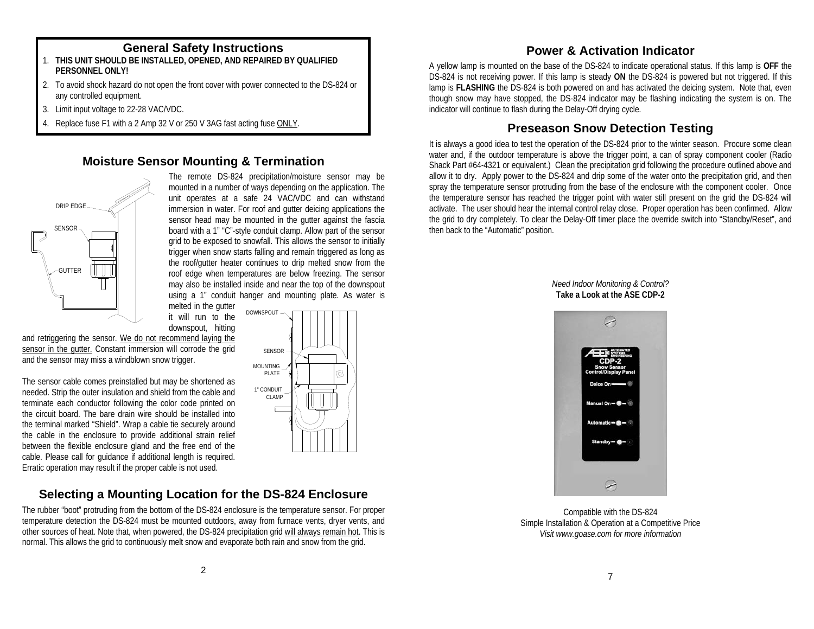#### **General Safety Instructions**

- 1. **THIS UNIT SHOULD BE INSTALLED, OPENED, AND REPAIRED BY QUALIFIED PERSONNEL ONLY!**
- 2. To avoid shock hazard do not open the front cover with power connected to the DS-824 or any controlled equipment.
- 3. Limit input voltage to 22-28 VAC/VDC.
- 4. Replace fuse F1 with a 2 Amp 32 V or 250 V 3AG fast acting fuse ONLY.

# **Moisture Sensor Mounting & Termination**



The remote DS-824 precipitation/moisture sensor may be mounted in a number of ways depending on the application. The unit operates at a safe 24 VAC/VDC and can withstand immersion in water. For roof and gutter deicing applications the sensor head may be mounted in the gutter against the fascia board with a 1" "C"-style conduit clamp. Allow part of the sensor grid to be exposed to snowfall. This allows the sensor to initially trigger when snow starts falling and remain triggered as long as the roof/gutter heater continues to drip melted snow from the roof edge when temperatures are below freezing. The sensor may also be installed inside and near the top of the downspout using a 1" conduit hanger and mounting plate. As water is

DOWNSPOUT

SENSORMOUNTINGPI ATF 1" CONDUITCLAMP

Ø

melted in the gutter it will run to the downspout, hitting

and retriggering the sensor. We do not recommend laying the sensor in the gutter. Constant immersion will corrode the grid and the sensor may miss a windblown snow trigger.

The sensor cable comes preinstalled but may be shortened as needed. Strip the outer insulation and shield from the cable and terminate each conductor following the color code printed on the circuit board. The bare drain wire should be installed into the terminal marked "Shield". Wrap a cable tie securely around the cable in the enclosure to provide additional strain relief between the flexible enclosure gland and the free end of the cable. Please call for guidance if additional length is required. Erratic operation may result if the proper cable is not used.

# **Selecting a Mounting Location for the DS-824 Enclosure**

The rubber "boot" protruding from the bottom of the DS-824 enclosure is the temperature sensor. For proper temperature detection the DS-824 must be mounted outdoors, away from furnace vents, dryer vents, and other sources of heat. Note that, when powered, the DS-824 precipitation grid will always remain hot. This is normal. This allows the grid to continuously melt snow and evaporate both rain and snow from the grid.

# **Power & Activation Indicator**

A yellow lamp is mounted on the base of the DS-824 to indicate operational status. If this lamp is **OFF** the DS-824 is not receiving power. If this lamp is steady **ON** the DS-824 is powered but not triggered. If this lamp is **FLASHING** the DS-824 is both powered on and has activated the deicing system. Note that, even though snow may have stopped, the DS-824 indicator may be flashing indicating the system is on. The indicator will continue to flash during the Delay-Off drying cycle.

## **Preseason Snow Detection Testing**

It is always a good idea to test the operation of the DS-824 prior to the winter season. Procure some clean water and, if the outdoor temperature is above the trigger point, a can of spray component cooler (Radio Shack Part #64-4321 or equivalent.) Clean the precipitation grid following the procedure outlined above and allow it to dry. Apply power to the DS-824 and drip some of the water onto the precipitation grid, and then spray the temperature sensor protruding from the base of the enclosure with the component cooler. Once the temperature sensor has reached the trigger point with water still present on the grid the DS-824 will activate. The user should hear the internal control relay close. Proper operation has been confirmed. Allow the grid to dry completely. To clear the Delay-Off timer place the override switch into "Standby/Reset", and then back to the "Automatic" position.





Compatible with the DS-824 Simple Installation & Operation at a Competitive Price *Visit www.goase.com for more information*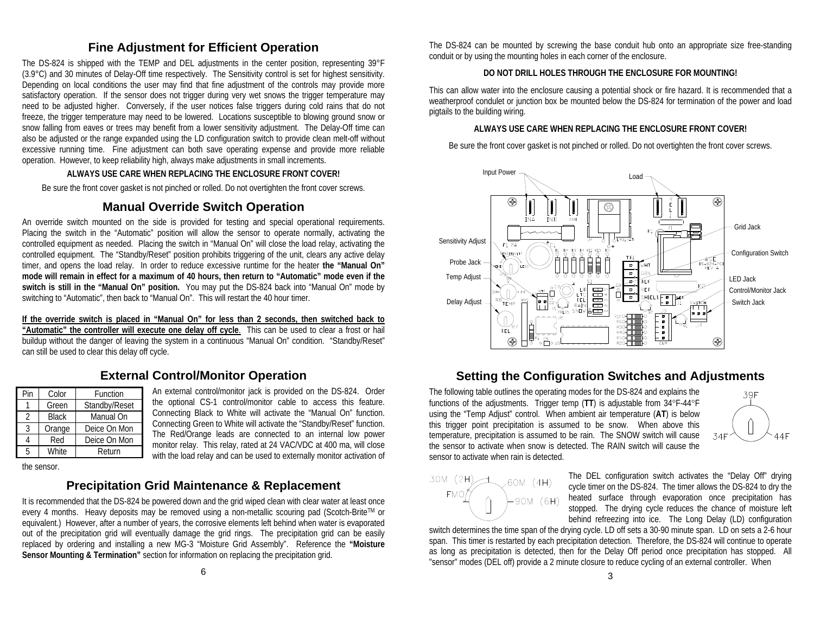### **Fine Adjustment for Efficient Operation**

The DS-824 is shipped with the TEMP and DEL adjustments in the center position, representing 39°F (3.9°C) and 30 minutes of Delay-Off time respectively. The Sensitivity control is set for highest sensitivity. Depending on local conditions the user may find that fine adjustment of the controls may provide more satisfactory operation. If the sensor does not trigger during very wet snows the trigger temperature may need to be adjusted higher. Conversely, if the user notices false triggers during cold rains that do not freeze, the trigger temperature may need to be lowered. Locations susceptible to blowing ground snow or snow falling from eaves or trees may benefit from a lower sensitivity adjustment. The Delay-Off time can also be adjusted or the range expanded using the LD configuration switch to provide clean melt-off without excessive running time. Fine adjustment can both save operating expense and provide more reliable operation. However, to keep reliability high, always make adjustments in small increments.

#### **ALWAYS USE CARE WHEN REPLACING THE ENCLOSURE FRONT COVER!**

Be sure the front cover gasket is not pinched or rolled. Do not overtighten the front cover screws.

### **Manual Override Switch Operation**

An override switch mounted on the side is provided for testing and special operational requirements. Placing the switch in the "Automatic" position will allow the sensor to operate normally, activating the controlled equipment as needed. Placing the switch in "Manual On" will close the load relay, activating the controlled equipment. The "Standby/Reset" position prohibits triggering of the unit, clears any active delay timer, and opens the load relay. In order to reduce excessive runtime for the heater **the "Manual On" mode will remain in effect for a maximum of 40 hours, then return to "Automatic" mode even if the switch is still in the "Manual On" position.** You may put the DS-824 back into "Manual On" mode by switching to "Automatic", then back to "Manual On". This will restart the 40 hour timer.

**If the override switch is placed in "Manual On" for less than 2 seconds, then switched back to "Automatic" the controller will execute one delay off cycle**. This can be used to clear a frost or hail buildup without the danger of leaving the system in a continuous "Manual On" condition. "Standby/Reset" can still be used to clear this delay off cycle.

### **External Control/Monitor Operation**

| Pin | Color        | Function      |  |  |
|-----|--------------|---------------|--|--|
|     | Green        | Standby/Reset |  |  |
| 2   | <b>Black</b> | Manual On     |  |  |
| 3   | Orange       | Deice On Mon  |  |  |
|     | Red          | Deice On Mon  |  |  |
| ҕ   | <b>White</b> | Return        |  |  |

An external control/monitor jack is provided on the DS-824. Order the optional CS-1 control/monitor cable to access this feature. Connecting Black to White will activate the "Manual On" function. Connecting Green to White will activate the "Standby/Reset" function. The Red/Orange leads are connected to an internal low power monitor relay. This relay, rated at 24 VAC/VDC at 400 ma, will close with the load relay and can be used to externally monitor activation of

the sensor.

### **Precipitation Grid Maintenance & Replacement**

It is recommended that the DS-824 be powered down and the grid wiped clean with clear water at least once every 4 months. Heavy deposits may be removed using a non-metallic scouring pad (Scotch-Brite™ or equivalent.) However, after a number of years, the corrosive elements left behind when water is evaporated out of the precipitation grid will eventually damage the grid rings. The precipitation grid can be easily replaced by ordering and installing a new MG-3 "Moisture Grid Assembly". Reference the **"Moisture Sensor Mounting & Termination"** section for information on replacing the precipitation grid.

The DS-824 can be mounted by screwing the base conduit hub onto an appropriate size free-standing conduit or by using the mounting holes in each corner of the enclosure.

#### **DO NOT DRILL HOLES THROUGH THE ENCLOSURE FOR MOUNTING!**

This can allow water into the enclosure causing a potential shock or fire hazard. It is recommended that a weatherproof condulet or junction box be mounted below the DS-824 for termination of the power and load pigtails to the building wiring.

#### **ALWAYS USE CARE WHEN REPLACING THE ENCLOSURE FRONT COVER!**

Be sure the front cover gasket is not pinched or rolled. Do not overtighten the front cover screws.



#### **Setting the Configuration Switches and Adjustments**

The following table outlines the operating modes for the DS-824 and explains the functions of the adjustments. Trigger temp (**TT**) is adjustable from 34°F-44°F using the "Temp Adjust" control. When ambient air temperature (**AT**) is below this trigger point precipitation is assumed to be snow. When above this temperature, precipitation is assumed to be rain. The SNOW switch will cause the sensor to activate when snow is detected. The RAIN switch will cause the sensor to activate when rain is detected.





The DEL configuration switch activates the "Delay Off" drying cycle timer on the DS-824. The timer allows the DS-824 to dry the heated surface through evaporation once precipitation has stopped. The drying cycle reduces the chance of moisture left behind refreezing into ice. The Long Delay (LD) configuration

switch determines the time span of the drying cycle. LD off sets a 30-90 minute span. LD on sets a 2-6 hour span. This timer is restarted by each precipitation detection. Therefore, the DS-824 will continue to operate as long as precipitation is detected, then for the Delay Off period once precipitation has stopped. All "sensor" modes (DEL off) provide a 2 minute closure to reduce cycling of an external controller. When